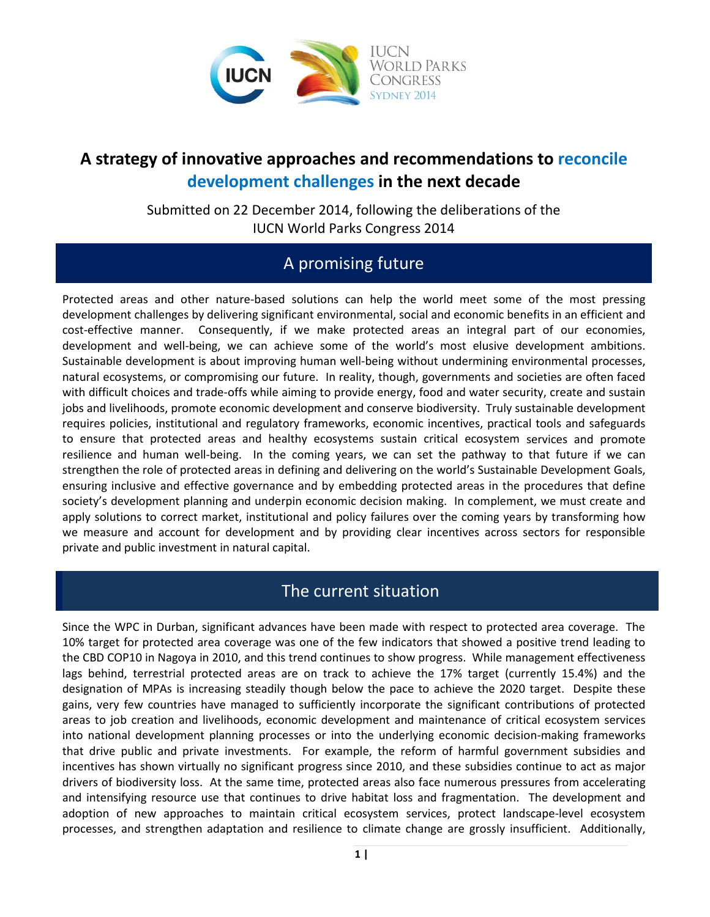

# **A strategy of innovative approaches and recommendations to reconcile development challenges in the next decade**

Submitted on 22 December 2014, following the deliberations of the IUCN World Parks Congress 2014

## A promising future

Protected areas and other nature-based solutions can help the world meet some of the most pressing development challenges by delivering significant environmental, social and economic benefits in an efficient and cost-effective manner. Consequently, if we make protected areas an integral part of our economies, development and well-being, we can achieve some of the world's most elusive development ambitions. Sustainable development is about improving human well-being without undermining environmental processes, natural ecosystems, or compromising our future. In reality, though, governments and societies are often faced with difficult choices and trade-offs while aiming to provide energy, food and water security, create and sustain jobs and livelihoods, promote economic development and conserve biodiversity. Truly sustainable development requires policies, institutional and regulatory frameworks, economic incentives, practical tools and safeguards to ensure that protected areas and healthy ecosystems sustain critical ecosystem services and promote resilience and human well-being. In the coming years, we can set the pathway to that future if we can strengthen the role of protected areas in defining and delivering on the world's Sustainable Development Goals, ensuring inclusive and effective governance and by embedding protected areas in the procedures that define society's development planning and underpin economic decision making. In complement, we must create and apply solutions to correct market, institutional and policy failures over the coming years by transforming how we measure and account for development and by providing clear incentives across sectors for responsible private and public investment in natural capital.

#### The current situation

Since the WPC in Durban, significant advances have been made with respect to protected area coverage. The 10% target for protected area coverage was one of the few indicators that showed a positive trend leading to the CBD COP10 in Nagoya in 2010, and this trend continues to show progress. While management effectiveness lags behind, terrestrial protected areas are on track to achieve the 17% target (currently 15.4%) and the designation of MPAs is increasing steadily though below the pace to achieve the 2020 target. Despite these gains, very few countries have managed to sufficiently incorporate the significant contributions of protected areas to job creation and livelihoods, economic development and maintenance of critical ecosystem services into national development planning processes or into the underlying economic decision-making frameworks that drive public and private investments. For example, the reform of harmful government subsidies and incentives has shown virtually no significant progress since 2010, and these subsidies continue to act as major drivers of biodiversity loss. At the same time, protected areas also face numerous pressures from accelerating and intensifying resource use that continues to drive habitat loss and fragmentation. The development and adoption of new approaches to maintain critical ecosystem services, protect landscape-level ecosystem processes, and strengthen adaptation and resilience to climate change are grossly insufficient. Additionally,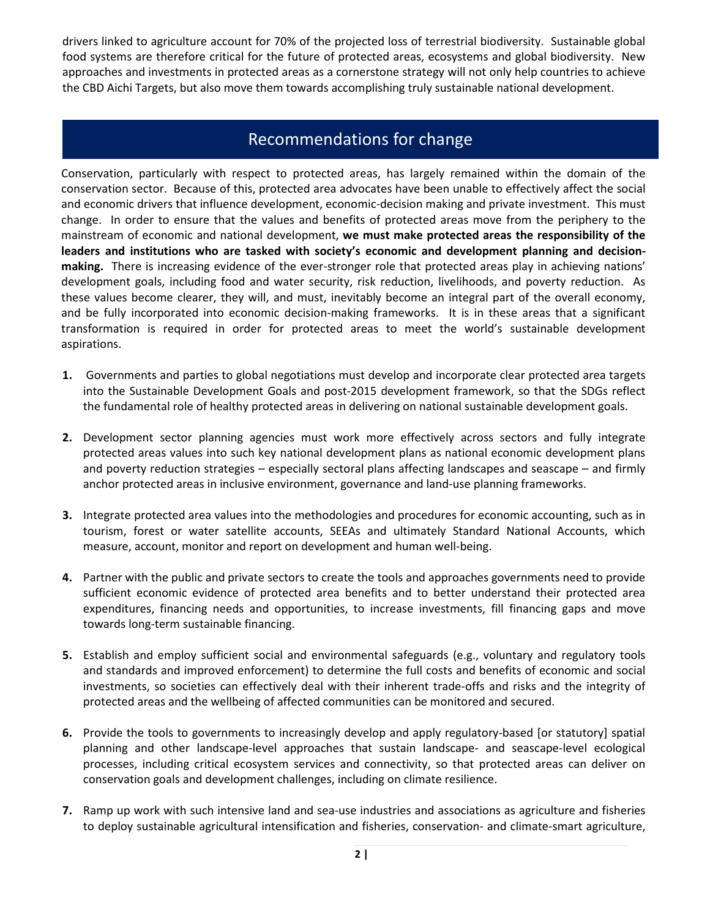drivers linked to agriculture account for 70% of the projected loss of terrestrial biodiversity. Sustainable global food systems are therefore critical for the future of protected areas, ecosystems and global biodiversity. New approaches and investments in protected areas as a cornerstone strategy will not only help countries to achieve the CBD Aichi Targets, but also move them towards accomplishing truly sustainable national development.

#### Recommendations for change

Conservation, particularly with respect to protected areas, has largely remained within the domain of the conservation sector. Because of this, protected area advocates have been unable to effectively affect the social and economic drivers that influence development, economic-decision making and private investment. This must change. In order to ensure that the values and benefits of protected areas move from the periphery to the mainstream of economic and national development, **we must make protected areas the responsibility of the leaders and institutions who are tasked with society's economic and development planning and decisionmaking.** There is increasing evidence of the ever-stronger role that protected areas play in achieving nations' development goals, including food and water security, risk reduction, livelihoods, and poverty reduction. As these values become clearer, they will, and must, inevitably become an integral part of the overall economy, and be fully incorporated into economic decision-making frameworks. It is in these areas that a significant transformation is required in order for protected areas to meet the world's sustainable development aspirations.

- **1.** Governments and parties to global negotiations must develop and incorporate clear protected area targets into the Sustainable Development Goals and post-2015 development framework, so that the SDGs reflect the fundamental role of healthy protected areas in delivering on national sustainable development goals.
- **2.** Development sector planning agencies must work more effectively across sectors and fully integrate protected areas values into such key national development plans as national economic development plans and poverty reduction strategies – especially sectoral plans affecting landscapes and seascape – and firmly anchor protected areas in inclusive environment, governance and land-use planning frameworks.
- **3.** Integrate protected area values into the methodologies and procedures for economic accounting, such as in tourism, forest or water satellite accounts, SEEAs and ultimately Standard National Accounts, which measure, account, monitor and report on development and human well-being.
- **4.** Partner with the public and private sectors to create the tools and approaches governments need to provide sufficient economic evidence of protected area benefits and to better understand their protected area expenditures, financing needs and opportunities, to increase investments, fill financing gaps and move towards long-term sustainable financing.
- **5.** Establish and employ sufficient social and environmental safeguards (e.g., voluntary and regulatory tools and standards and improved enforcement) to determine the full costs and benefits of economic and social investments, so societies can effectively deal with their inherent trade-offs and risks and the integrity of protected areas and the wellbeing of affected communities can be monitored and secured.
- **6.** Provide the tools to governments to increasingly develop and apply regulatory-based [or statutory] spatial planning and other landscape-level approaches that sustain landscape- and seascape-level ecological processes, including critical ecosystem services and connectivity, so that protected areas can deliver on conservation goals and development challenges, including on climate resilience.
- **7.** Ramp up work with such intensive land and sea-use industries and associations as agriculture and fisheries to deploy sustainable agricultural intensification and fisheries, conservation- and climate-smart agriculture,